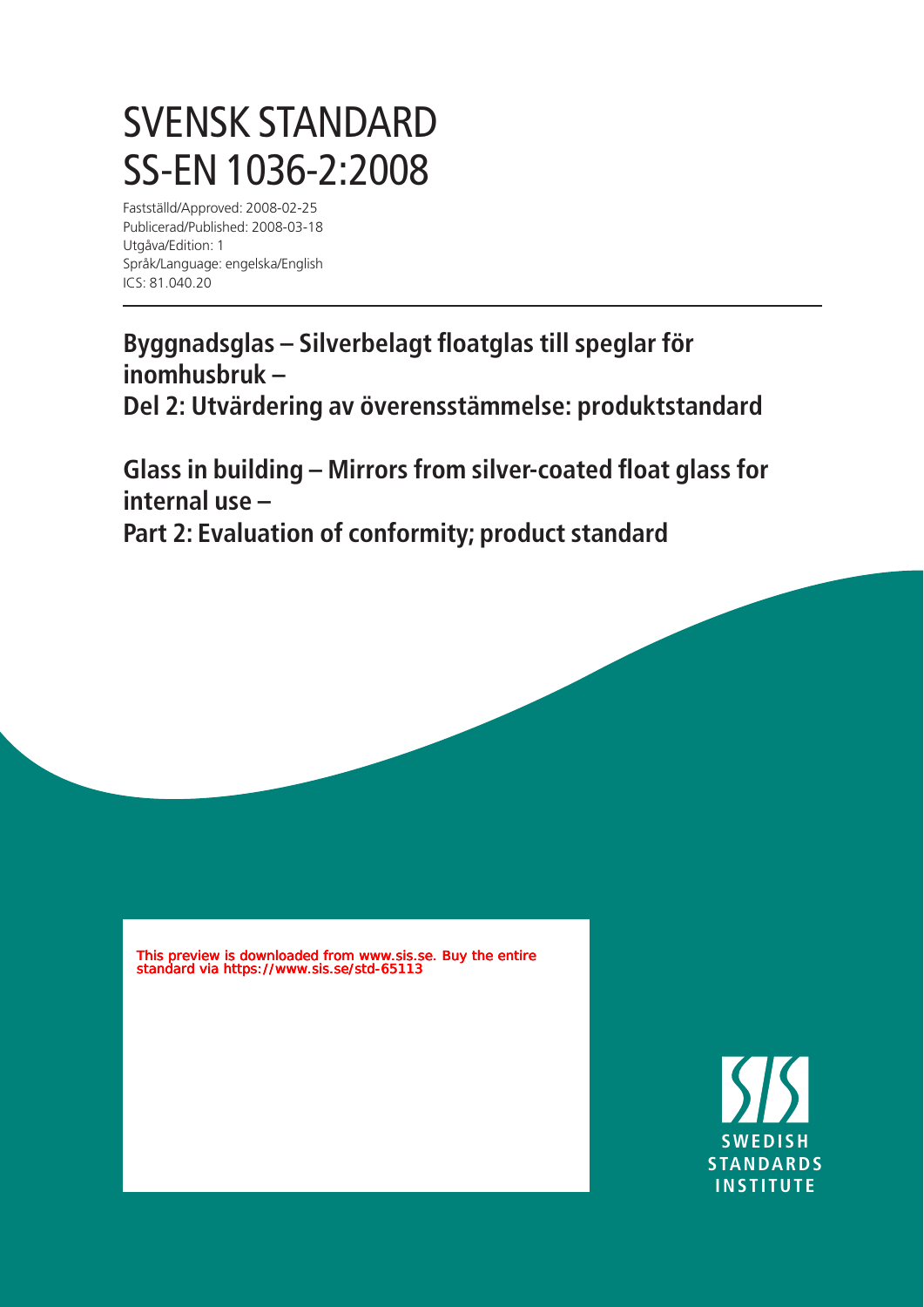## SVENSK STANDARD SS-EN 1036-2:2008

Fastställd/Approved: 2008-02-25 Publicerad/Published: 2008-03-18 Utgåva/Edition: 1 Språk/Language: engelska/English  $ICS: 81.040.20$ 

**Byggnadsglas – Silverbelagt floatglas till speglar för inomhusbruk – Del 2: Utvärdering av överensstämmelse: produktstandard**

**Glass in building – Mirrors from silver-coated float glass for internal use –** 

**Part 2: Evaluation of conformity; product standard**

This preview is downloaded from www.sis.se. Buy the entire standard via https://www.sis.se/std-65113

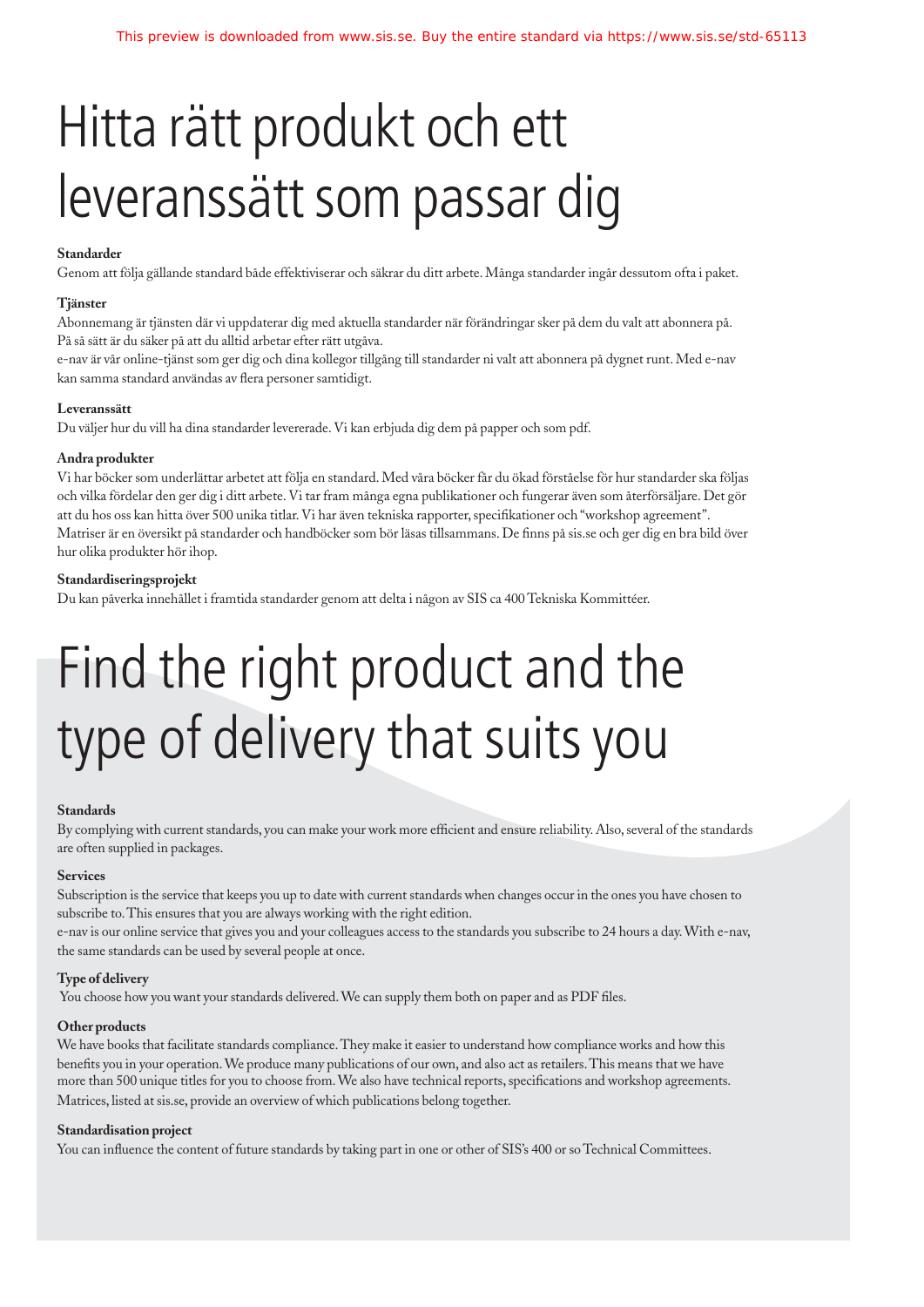## Hitta rätt produkt och ett leveranssätt som passar dig

#### **Standarder**

Genom att följa gällande standard både effektiviserar och säkrar du ditt arbete. Många standarder ingår dessutom ofta i paket.

#### **Tjänster**

Abonnemang är tjänsten där vi uppdaterar dig med aktuella standarder när förändringar sker på dem du valt att abonnera på. På så sätt är du säker på att du alltid arbetar efter rätt utgåva.

e-nav är vår online-tjänst som ger dig och dina kollegor tillgång till standarder ni valt att abonnera på dygnet runt. Med e-nav kan samma standard användas av flera personer samtidigt.

#### **Leveranssätt**

Du väljer hur du vill ha dina standarder levererade. Vi kan erbjuda dig dem på papper och som pdf.

#### **Andra produkter**

Vi har böcker som underlättar arbetet att följa en standard. Med våra böcker får du ökad förståelse för hur standarder ska följas och vilka fördelar den ger dig i ditt arbete. Vi tar fram många egna publikationer och fungerar även som återförsäljare. Det gör att du hos oss kan hitta över 500 unika titlar. Vi har även tekniska rapporter, specifikationer och "workshop agreement". Matriser är en översikt på standarder och handböcker som bör läsas tillsammans. De finns på sis.se och ger dig en bra bild över hur olika produkter hör ihop.

#### **Standardiseringsprojekt**

Du kan påverka innehållet i framtida standarder genom att delta i någon av SIS ca 400 Tekniska Kommittéer.

# Find the right product and the type of delivery that suits you

#### **Standards**

By complying with current standards, you can make your work more efficient and ensure reliability. Also, several of the standards are often supplied in packages.

#### **Services**

Subscription is the service that keeps you up to date with current standards when changes occur in the ones you have chosen to subscribe to. This ensures that you are always working with the right edition.

e-nav is our online service that gives you and your colleagues access to the standards you subscribe to 24 hours a day. With e-nav, the same standards can be used by several people at once.

#### **Type of delivery**

You choose how you want your standards delivered. We can supply them both on paper and as PDF files.

#### **Other products**

We have books that facilitate standards compliance. They make it easier to understand how compliance works and how this benefits you in your operation. We produce many publications of our own, and also act as retailers. This means that we have more than 500 unique titles for you to choose from. We also have technical reports, specifications and workshop agreements. Matrices, listed at sis.se, provide an overview of which publications belong together.

#### **Standardisation project**

You can influence the content of future standards by taking part in one or other of SIS's 400 or so Technical Committees.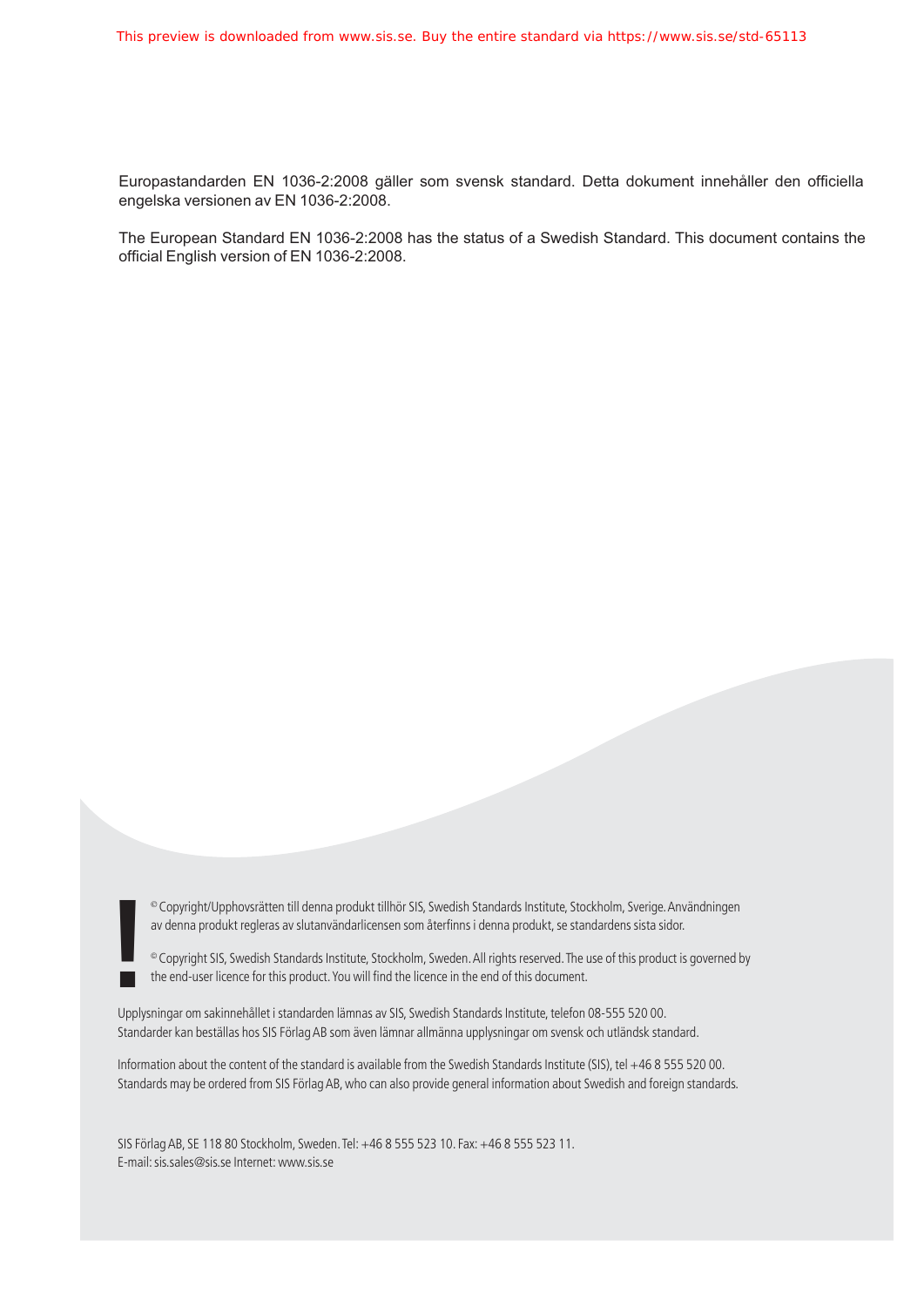Europastandarden EN 1036-2:2008 gäller som svensk standard. Detta dokument innehåller den officiella engelska versionen av EN 1036-2:2008.

The European Standard EN 1036-2:2008 has the status of a Swedish Standard. This document contains the official English version of EN 1036-2:2008.

av denna produkt regleras av slutanvändarlicensen som återfinns i denna produkt, se standardens sista sidor.

■ Copyright/Upphovsrätten till denna produkt tillhör SIS, Swedish Standards Institute, Stockholm, Sverige. Användningen<br>av denna produkt regleras av slutanvändarlicensen som återfinns i denna produkt, se standardens sista

Upplysningar om sakinnehållet i standarden lämnas av SIS, Swedish Standards Institute, telefon 08-555 520 00. Standarder kan beställas hos SIS Förlag AB som även lämnar allmänna upplysningar om svensk och utländsk standard.

Information about the content of the standard is available from the Swedish Standards Institute (SIS), tel +46 8 555 520 00. Standards may be ordered from SIS Förlag AB, who can also provide general information about Swedish and foreign standards.

SIS Förlag AB, SE 118 80 Stockholm, Sweden. Tel: +46 8 555 523 10. Fax: +46 8 555 523 11. E-mail: sis.sales@sis.se Internet: www.sis.se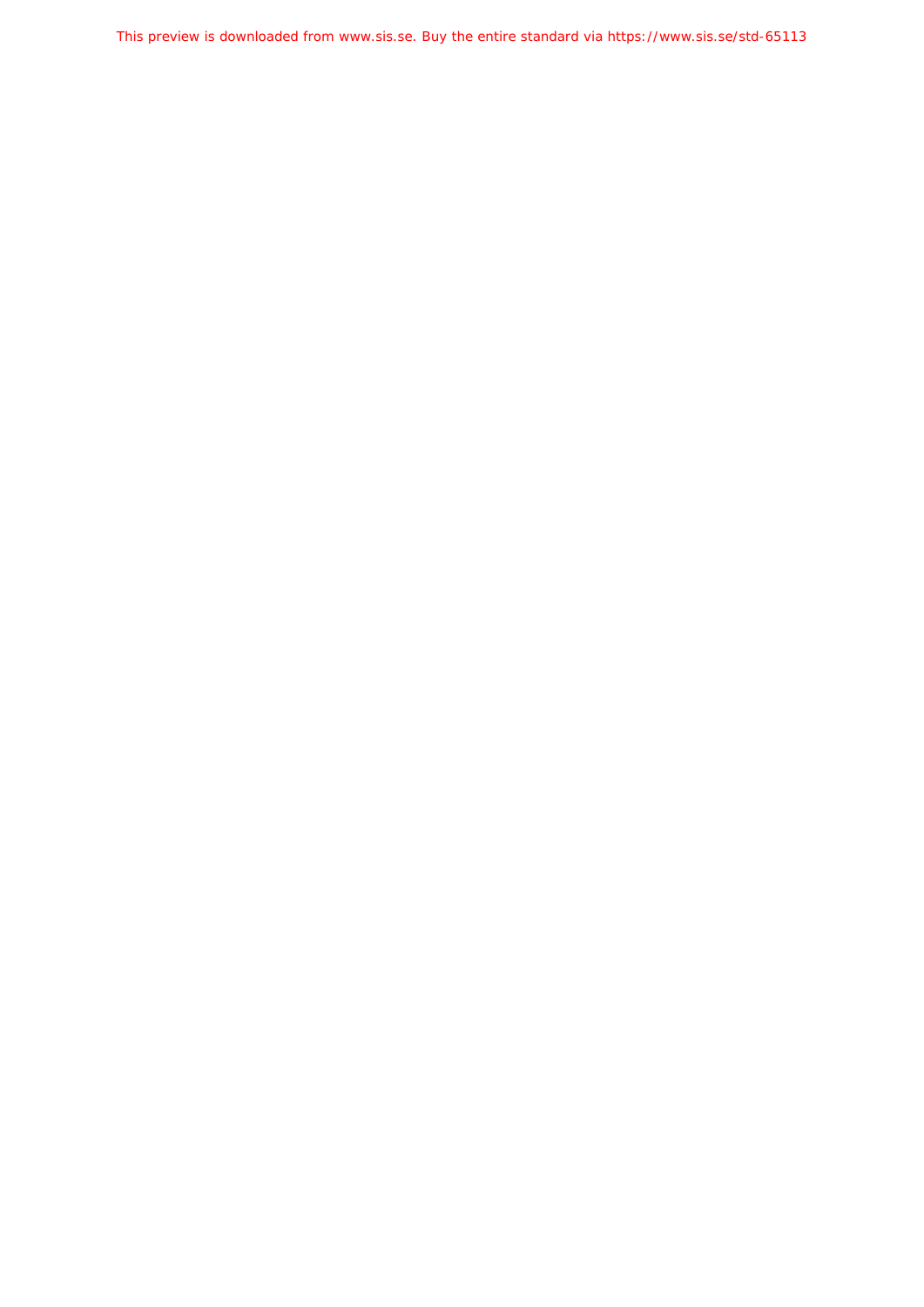This preview is downloaded from www.sis.se. Buy the entire standard via https://www.sis.se/std-65113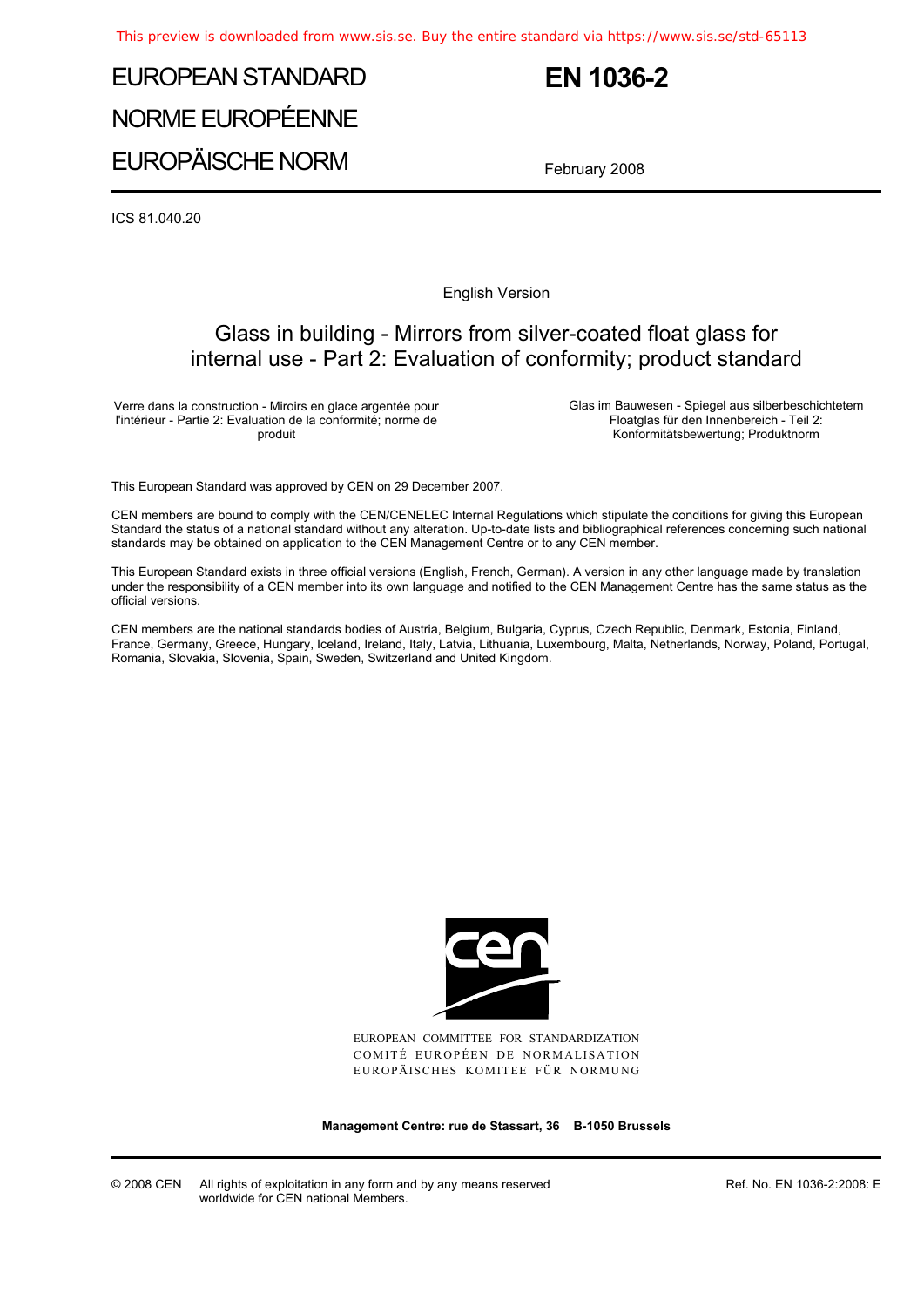## EUROPEAN STANDARD NORME EUROPÉENNE EUROPÄISCHE NORM

## **EN 1036-2**

February 2008

ICS 81.040.20

English Version

### Glass in building - Mirrors from silver-coated float glass for internal use - Part 2: Evaluation of conformity; product standard

Verre dans la construction - Miroirs en glace argentée pour l'intérieur - Partie 2: Evaluation de la conformité; norme de produit

Glas im Bauwesen - Spiegel aus silberbeschichtetem Floatglas für den Innenbereich - Teil 2: Konformitätsbewertung; Produktnorm

This European Standard was approved by CEN on 29 December 2007.

CEN members are bound to comply with the CEN/CENELEC Internal Regulations which stipulate the conditions for giving this European Standard the status of a national standard without any alteration. Up-to-date lists and bibliographical references concerning such national standards may be obtained on application to the CEN Management Centre or to any CEN member.

This European Standard exists in three official versions (English, French, German). A version in any other language made by translation under the responsibility of a CEN member into its own language and notified to the CEN Management Centre has the same status as the official versions.

CEN members are the national standards bodies of Austria, Belgium, Bulgaria, Cyprus, Czech Republic, Denmark, Estonia, Finland, France, Germany, Greece, Hungary, Iceland, Ireland, Italy, Latvia, Lithuania, Luxembourg, Malta, Netherlands, Norway, Poland, Portugal, Romania, Slovakia, Slovenia, Spain, Sweden, Switzerland and United Kingdom.



EUROPEAN COMMITTEE FOR STANDARDIZATION COMITÉ EUROPÉEN DE NORMALISATION EUROPÄISCHES KOMITEE FÜR NORMUNG

**Management Centre: rue de Stassart, 36 B-1050 Brussels**

© 2008 CEN All rights of exploitation in any form and by any means reserved worldwide for CEN national Members.

Ref. No. EN 1036-2:2008: E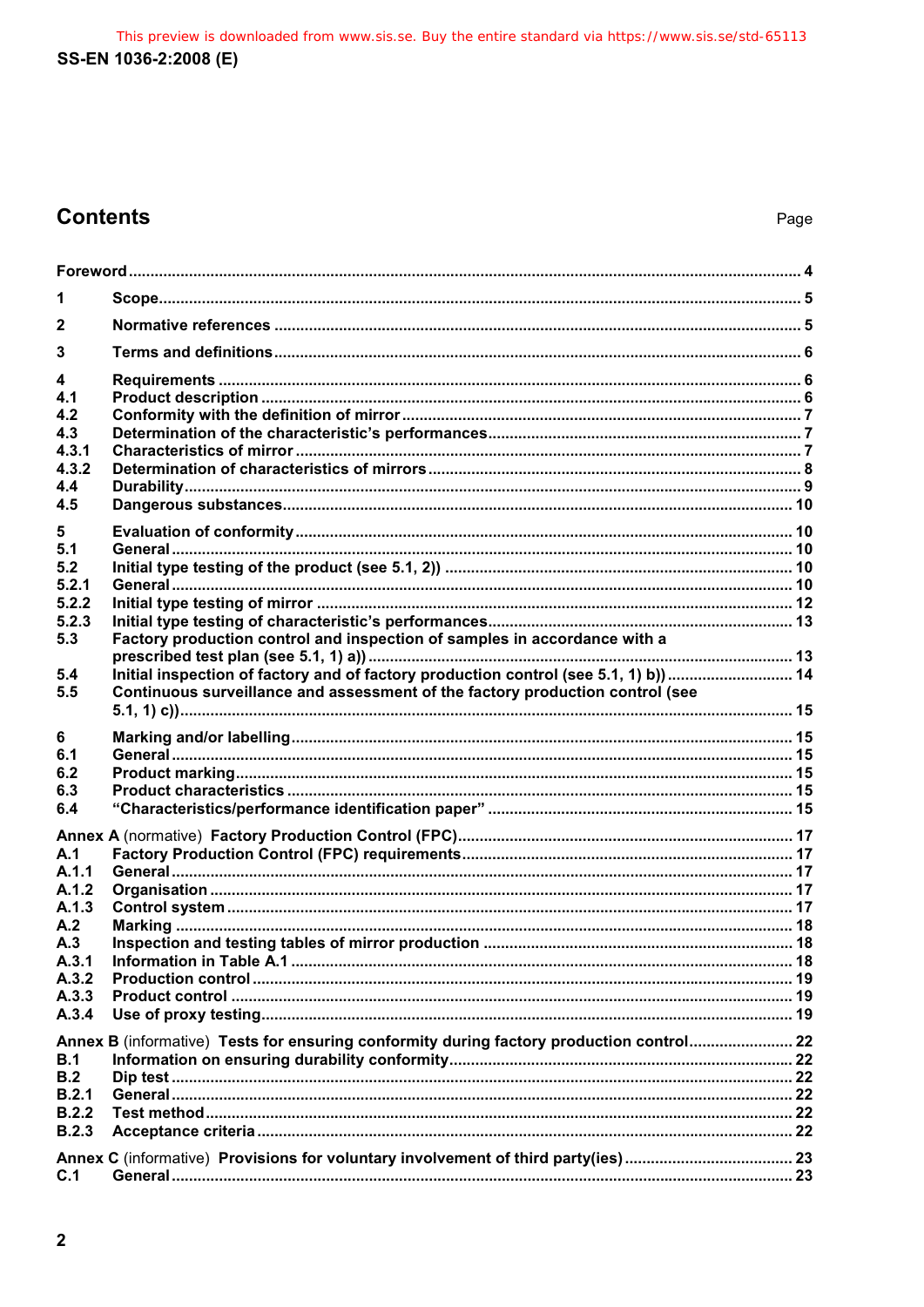This preview is downloaded from www.sis.se. Buy the entire standard via https://www.sis.se/std-65113 SS-EN 1036-2:2008 (E)

## **Contents**

| 1                                                                                |                                                                                                                                                                      |  |  |  |
|----------------------------------------------------------------------------------|----------------------------------------------------------------------------------------------------------------------------------------------------------------------|--|--|--|
| $\mathbf{2}$                                                                     |                                                                                                                                                                      |  |  |  |
| 3                                                                                |                                                                                                                                                                      |  |  |  |
| 4<br>4.1<br>4.2<br>4.3<br>4.3.1<br>4.3.2<br>4.4<br>4.5                           |                                                                                                                                                                      |  |  |  |
| 5<br>5.1<br>5.2<br>5.2.1<br>5.2.2<br>5.2.3<br>5.3                                | Factory production control and inspection of samples in accordance with a                                                                                            |  |  |  |
| 5.4<br>5.5                                                                       | Initial inspection of factory and of factory production control (see 5.1, 1) b)) 14<br>Continuous surveillance and assessment of the factory production control (see |  |  |  |
|                                                                                  |                                                                                                                                                                      |  |  |  |
| 6<br>6.1<br>6.2<br>6.3<br>6.4                                                    |                                                                                                                                                                      |  |  |  |
| A.1<br>A.1.1<br>A.1.2<br>A.1.3<br>A.2<br>A.3<br>A.3.1<br>A.3.2<br>A.3.3<br>A.3.4 |                                                                                                                                                                      |  |  |  |
| B.1<br>B.2<br>B.2.1<br>B.2.2<br>B.2.3<br>C.1                                     | Annex B (informative) Tests for ensuring conformity during factory production control 22                                                                             |  |  |  |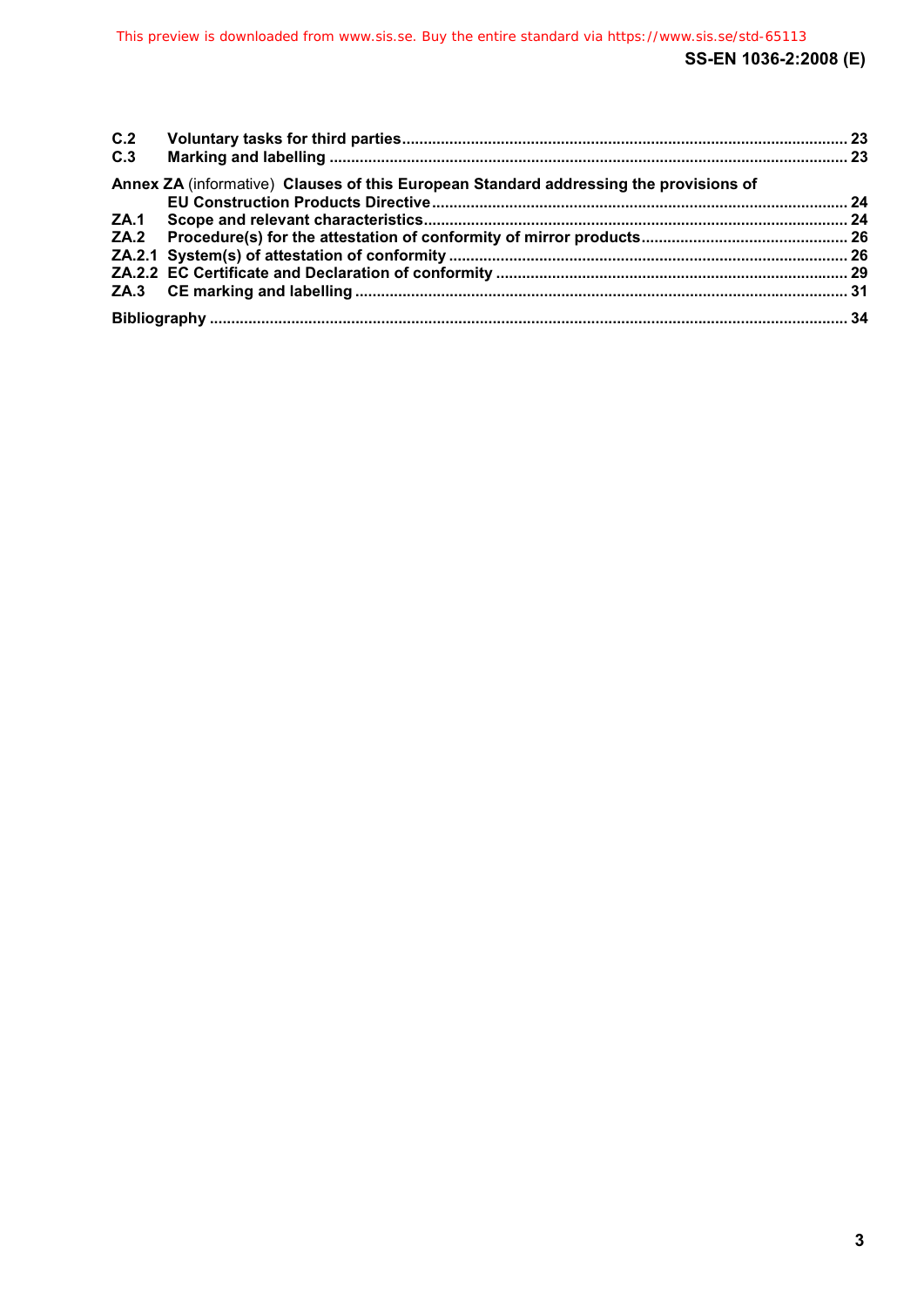|  | SS-EN 1036-2:2008 (E) |  |
|--|-----------------------|--|
|--|-----------------------|--|

| C.2 |                                                                                       |  |
|-----|---------------------------------------------------------------------------------------|--|
| C.3 |                                                                                       |  |
|     | Annex ZA (informative) Clauses of this European Standard addressing the provisions of |  |
|     |                                                                                       |  |
|     |                                                                                       |  |
|     |                                                                                       |  |
|     |                                                                                       |  |
|     |                                                                                       |  |
|     |                                                                                       |  |
|     |                                                                                       |  |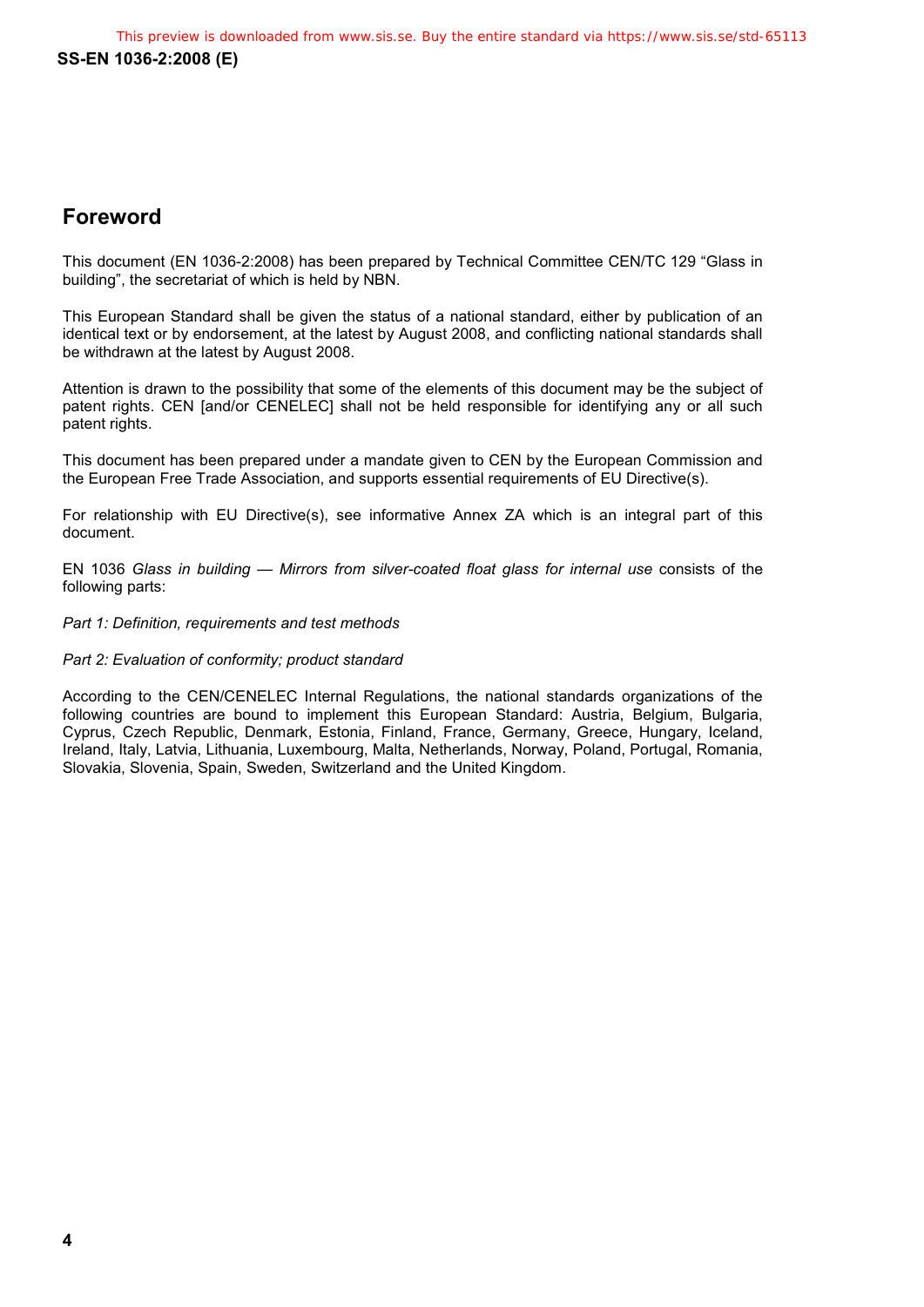### **Foreword**

This document (EN 1036-2:2008) has been prepared by Technical Committee CEN/TC 129 "Glass in building", the secretariat of which is held by NBN.

This European Standard shall be given the status of a national standard, either by publication of an identical text or by endorsement, at the latest by August 2008, and conflicting national standards shall be withdrawn at the latest by August 2008.

Attention is drawn to the possibility that some of the elements of this document may be the subject of patent rights. CEN [and/or CENELEC] shall not be held responsible for identifying any or all such patent rights.

This document has been prepared under a mandate given to CEN by the European Commission and the European Free Trade Association, and supports essential requirements of EU Directive(s).

For relationship with EU Directive(s), see informative Annex ZA which is an integral part of this document.

EN 1036 *Glass in building — Mirrors from silver-coated float glass for internal use* consists of the following parts:

*Part 1: Definition, requirements and test methods* 

#### *Part 2: Evaluation of conformity; product standard*

According to the CEN/CENELEC Internal Regulations, the national standards organizations of the following countries are bound to implement this European Standard: Austria, Belgium, Bulgaria, Cyprus, Czech Republic, Denmark, Estonia, Finland, France, Germany, Greece, Hungary, Iceland, Ireland, Italy, Latvia, Lithuania, Luxembourg, Malta, Netherlands, Norway, Poland, Portugal, Romania, Slovakia, Slovenia, Spain, Sweden, Switzerland and the United Kingdom.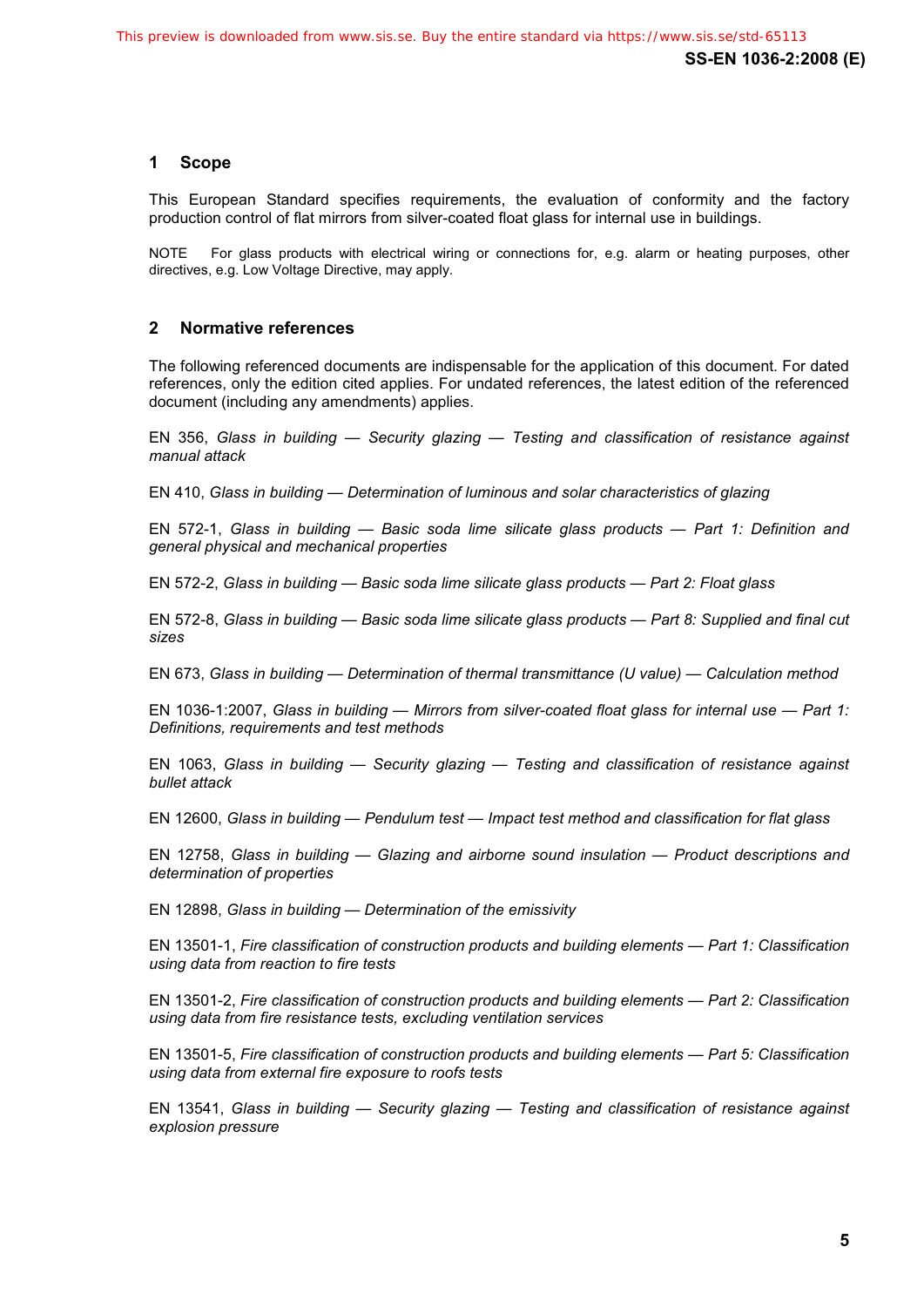#### **1 Scope**

This European Standard specifies requirements, the evaluation of conformity and the factory production control of flat mirrors from silver-coated float glass for internal use in buildings.

NOTE For glass products with electrical wiring or connections for, e.g. alarm or heating purposes, other directives, e.g. Low Voltage Directive, may apply.

#### **2 Normative references**

The following referenced documents are indispensable for the application of this document. For dated references, only the edition cited applies. For undated references, the latest edition of the referenced document (including any amendments) applies.

EN 356, *Glass in building — Security glazing — Testing and classification of resistance against manual attack*

EN 410, *Glass in building — Determination of luminous and solar characteristics of glazing*

EN 572-1, *Glass in building — Basic soda lime silicate glass products — Part 1: Definition and general physical and mechanical properties*

EN 572-2, *Glass in building — Basic soda lime silicate glass products — Part 2: Float glass*

EN 572-8, *Glass in building — Basic soda lime silicate glass products — Part 8: Supplied and final cut sizes*

EN 673, *Glass in building — Determination of thermal transmittance (U value) — Calculation method*

EN 1036-1:2007, *Glass in building — Mirrors from silver-coated float glass for internal use — Part 1: Definitions, requirements and test methods*

EN 1063, *Glass in building — Security glazing — Testing and classification of resistance against bullet attack*

EN 12600, *Glass in building — Pendulum test — Impact test method and classification for flat glass*

EN 12758, *Glass in building — Glazing and airborne sound insulation — Product descriptions and determination of properties*

EN 12898, *Glass in building — Determination of the emissivity*

EN 13501-1, *Fire classification of construction products and building elements — Part 1: Classification using data from reaction to fire tests*

EN 13501-2, *Fire classification of construction products and building elements — Part 2: Classification using data from fire resistance tests, excluding ventilation services*

EN 13501-5, *Fire classification of construction products and building elements — Part 5: Classification using data from external fire exposure to roofs tests*

EN 13541, *Glass in building — Security glazing — Testing and classification of resistance against explosion pressure*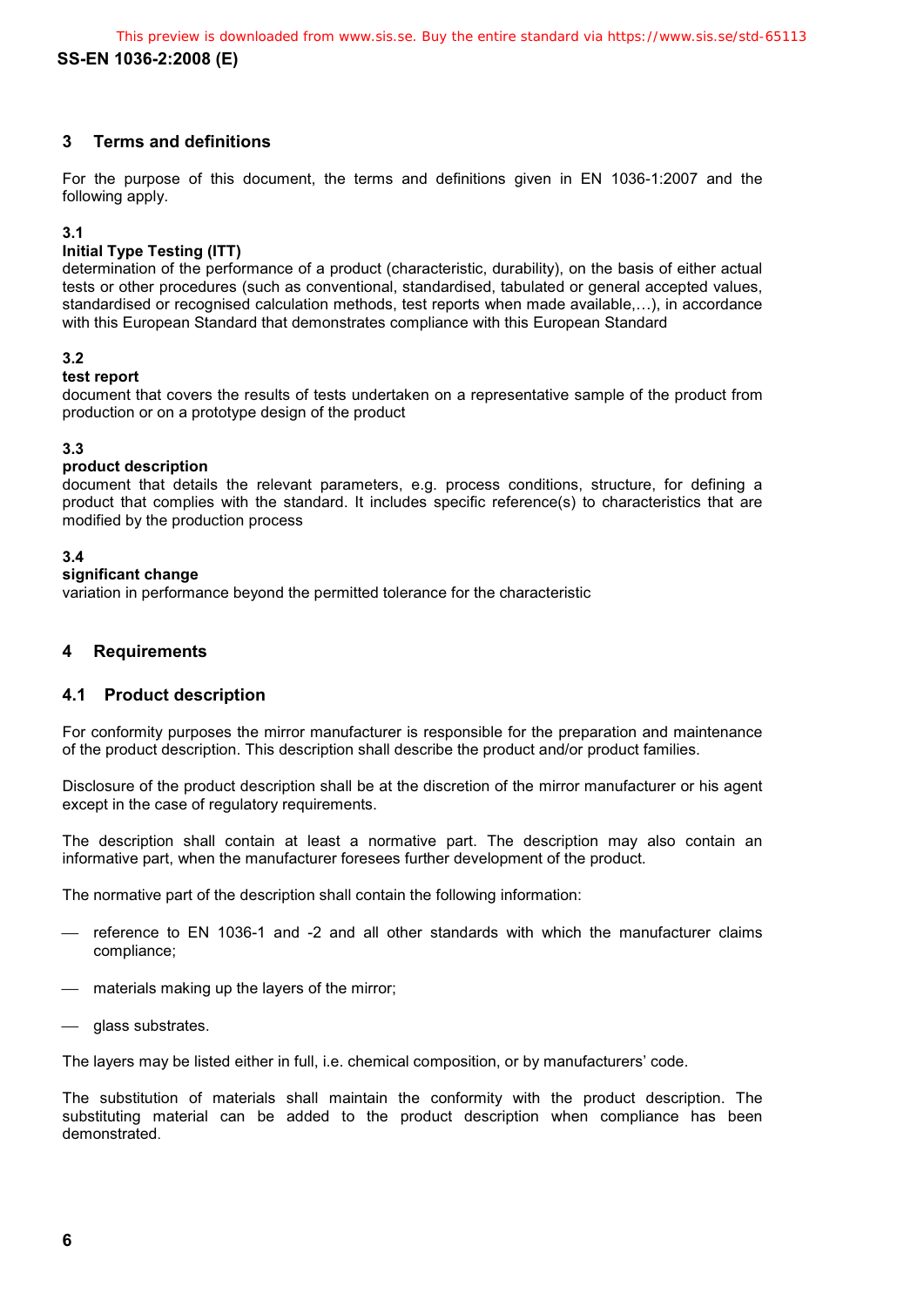**SS-EN 1036-2:2008 (E)** This preview is downloaded from www.sis.se. Buy the entire standard via https://www.sis.se/std-65113

#### **3 Terms and definitions**

For the purpose of this document, the terms and definitions given in EN 1036-1:2007 and the following apply.

#### **3.1**

#### **Initial Type Testing (ITT)**

determination of the performance of a product (characteristic, durability), on the basis of either actual tests or other procedures (such as conventional, standardised, tabulated or general accepted values, standardised or recognised calculation methods, test reports when made available,…), in accordance with this European Standard that demonstrates compliance with this European Standard

#### **3.2**

#### **test report**

document that covers the results of tests undertaken on a representative sample of the product from production or on a prototype design of the product

#### **3.3**

#### **product description**

document that details the relevant parameters, e.g. process conditions, structure, for defining a product that complies with the standard. It includes specific reference(s) to characteristics that are modified by the production process

#### **3.4**

#### **significant change**

variation in performance beyond the permitted tolerance for the characteristic

#### **4 Requirements**

#### **4.1 Product description**

For conformity purposes the mirror manufacturer is responsible for the preparation and maintenance of the product description. This description shall describe the product and/or product families.

Disclosure of the product description shall be at the discretion of the mirror manufacturer or his agent except in the case of regulatory requirements.

The description shall contain at least a normative part. The description may also contain an informative part, when the manufacturer foresees further development of the product.

The normative part of the description shall contain the following information:

- reference to EN 1036-1 and -2 and all other standards with which the manufacturer claims compliance;
- materials making up the layers of the mirror;
- glass substrates.

The layers may be listed either in full, i.e. chemical composition, or by manufacturers' code.

The substitution of materials shall maintain the conformity with the product description. The substituting material can be added to the product description when compliance has been demonstrated.